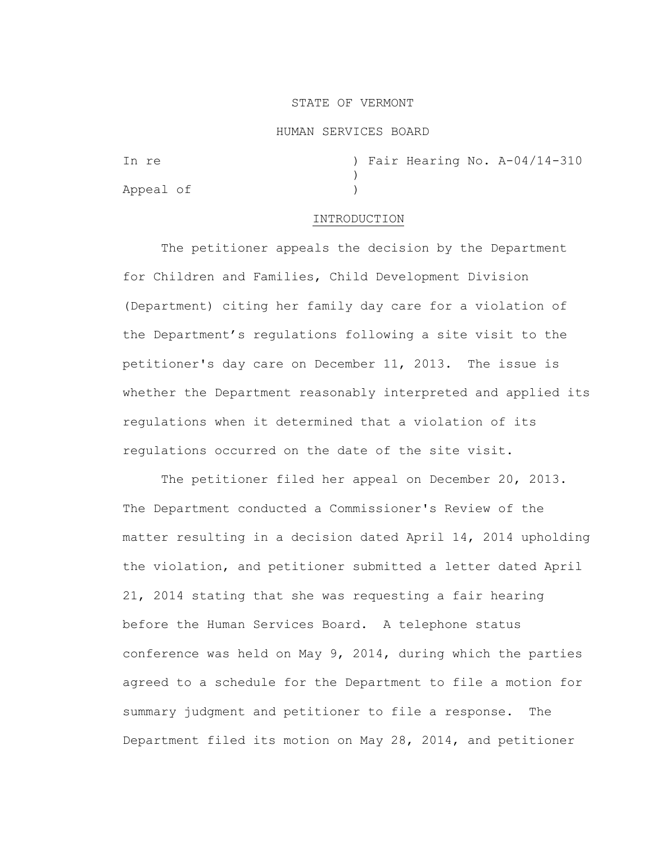### STATE OF VERMONT

#### HUMAN SERVICES BOARD

In re ) Fair Hearing No. A-04/14-310 ) Appeal of )

## INTRODUCTION

The petitioner appeals the decision by the Department for Children and Families, Child Development Division (Department) citing her family day care for a violation of the Department's regulations following a site visit to the petitioner's day care on December 11, 2013. The issue is whether the Department reasonably interpreted and applied its regulations when it determined that a violation of its regulations occurred on the date of the site visit.

The petitioner filed her appeal on December 20, 2013. The Department conducted a Commissioner's Review of the matter resulting in a decision dated April 14, 2014 upholding the violation, and petitioner submitted a letter dated April 21, 2014 stating that she was requesting a fair hearing before the Human Services Board. A telephone status conference was held on May 9, 2014, during which the parties agreed to a schedule for the Department to file a motion for summary judgment and petitioner to file a response. The Department filed its motion on May 28, 2014, and petitioner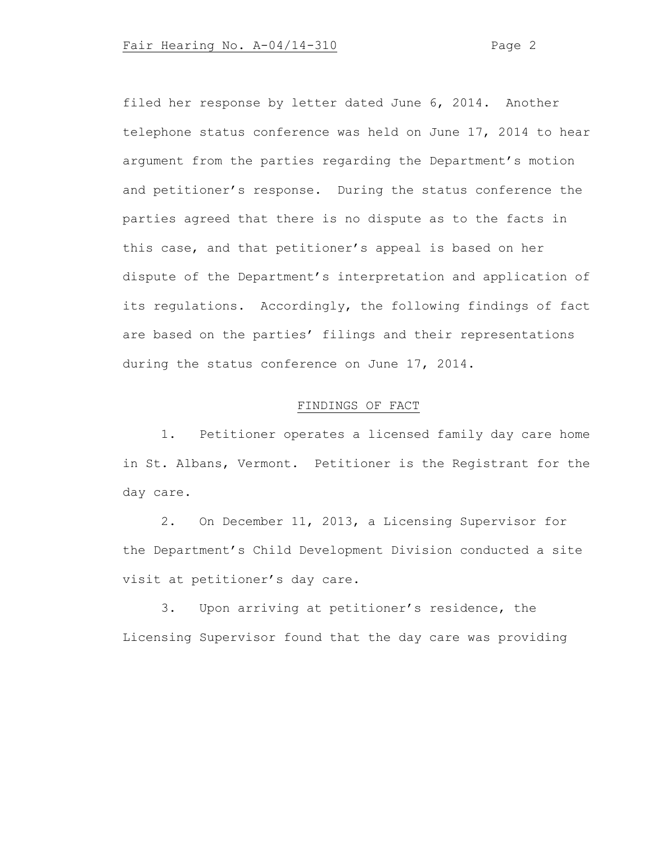filed her response by letter dated June 6, 2014. Another telephone status conference was held on June 17, 2014 to hear argument from the parties regarding the Department's motion and petitioner's response. During the status conference the parties agreed that there is no dispute as to the facts in this case, and that petitioner's appeal is based on her dispute of the Department's interpretation and application of its regulations. Accordingly, the following findings of fact are based on the parties' filings and their representations during the status conference on June 17, 2014.

## FINDINGS OF FACT

1. Petitioner operates a licensed family day care home in St. Albans, Vermont. Petitioner is the Registrant for the day care.

2. On December 11, 2013, a Licensing Supervisor for the Department's Child Development Division conducted a site visit at petitioner's day care.

3. Upon arriving at petitioner's residence, the Licensing Supervisor found that the day care was providing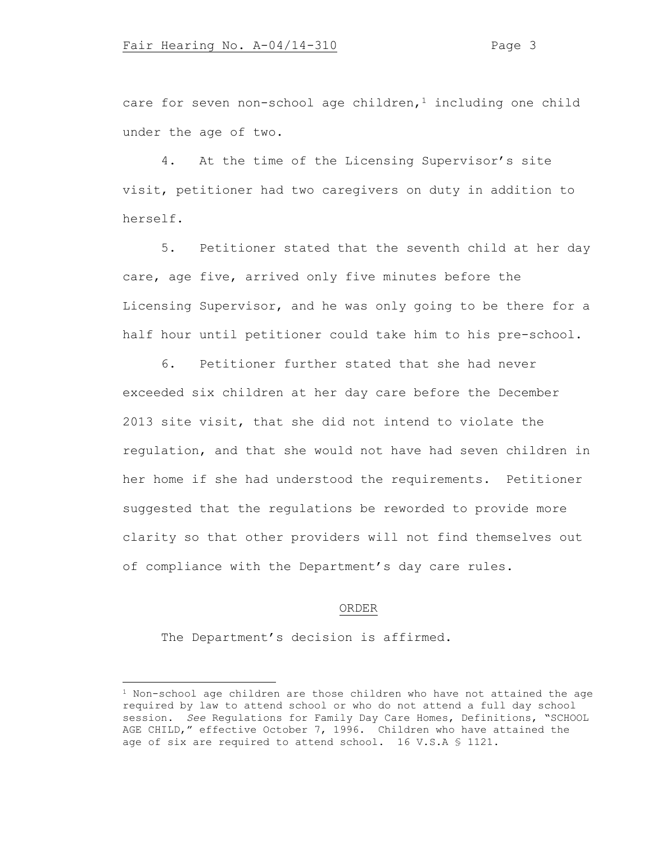care for seven non-school age children, $1$  including one child under the age of two.

4. At the time of the Licensing Supervisor's site visit, petitioner had two caregivers on duty in addition to herself.

5. Petitioner stated that the seventh child at her day care, age five, arrived only five minutes before the Licensing Supervisor, and he was only going to be there for a half hour until petitioner could take him to his pre-school.

6. Petitioner further stated that she had never exceeded six children at her day care before the December 2013 site visit, that she did not intend to violate the regulation, and that she would not have had seven children in her home if she had understood the requirements. Petitioner suggested that the regulations be reworded to provide more clarity so that other providers will not find themselves out of compliance with the Department's day care rules.

#### ORDER

The Department's decision is affirmed.

<sup>&</sup>lt;sup>1</sup> Non-school age children are those children who have not attained the age required by law to attend school or who do not attend a full day school session. *See* Regulations for Family Day Care Homes, Definitions, "SCHOOL AGE CHILD," effective October 7, 1996. Children who have attained the age of six are required to attend school. 16 V.S.A \$ 1121.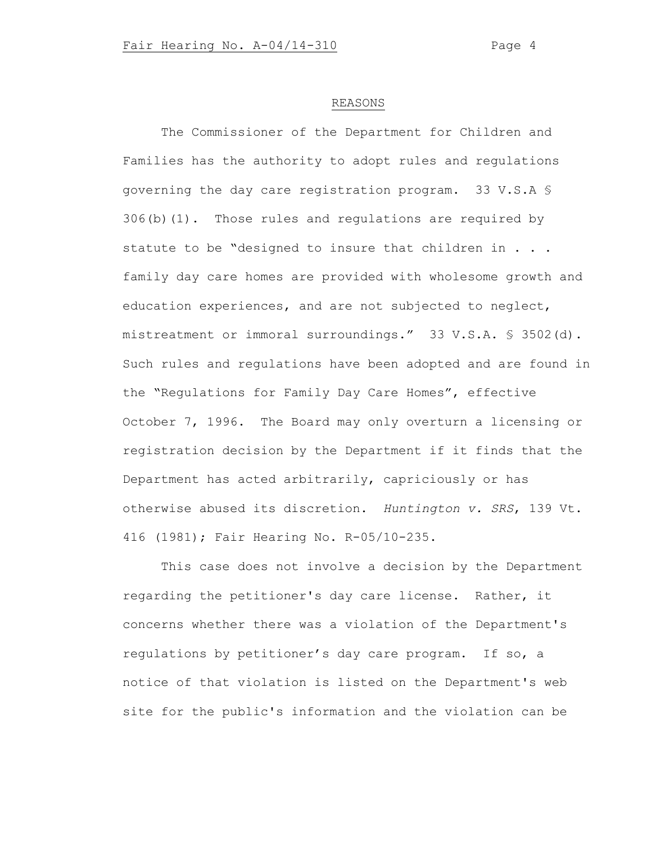#### REASONS

The Commissioner of the Department for Children and Families has the authority to adopt rules and regulations governing the day care registration program. 33 V.S.A § 306(b)(1). Those rules and regulations are required by statute to be "designed to insure that children in . . . family day care homes are provided with wholesome growth and education experiences, and are not subjected to neglect, mistreatment or immoral surroundings." 33 V.S.A. § 3502(d). Such rules and regulations have been adopted and are found in the "Regulations for Family Day Care Homes", effective October 7, 1996. The Board may only overturn a licensing or registration decision by the Department if it finds that the Department has acted arbitrarily, capriciously or has otherwise abused its discretion. *Huntington v. SRS*, 139 Vt. 416 (1981); Fair Hearing No. R-05/10-235.

This case does not involve a decision by the Department regarding the petitioner's day care license. Rather, it concerns whether there was a violation of the Department's regulations by petitioner's day care program. If so, a notice of that violation is listed on the Department's web site for the public's information and the violation can be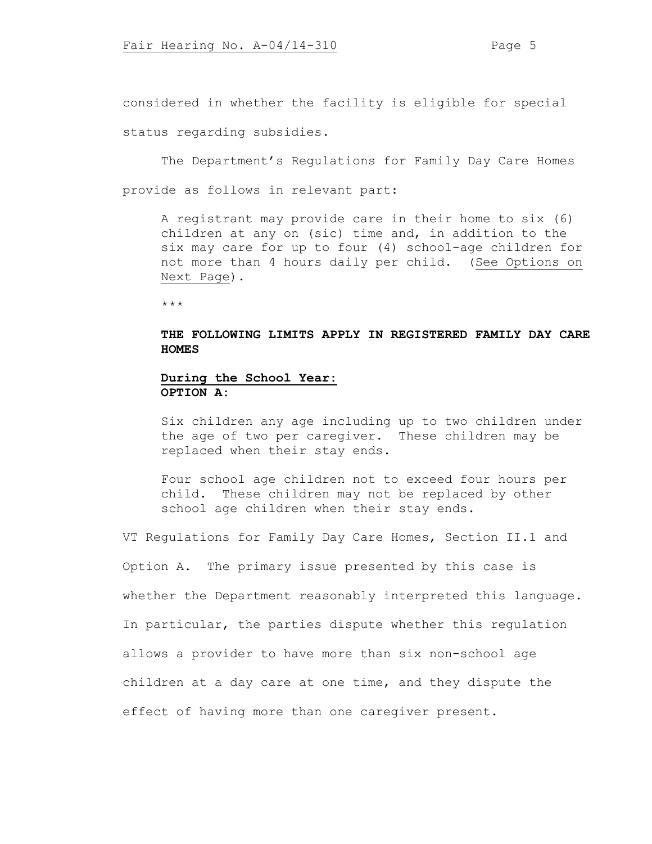considered in whether the facility is eligible for special status regarding subsidies.

The Department's Regulations for Family Day Care Homes provide as follows in relevant part:

A registrant may provide care in their home to six (6) children at any on (sic) time and, in addition to the six may care for up to four (4) school-age children for not more than 4 hours daily per child. (See Options on Next Page).

\*\*\*

# **THE FOLLOWING LIMITS APPLY IN REGISTERED FAMILY DAY CARE HOMES**

## **During the School Year: OPTION A:**

Six children any age including up to two children under the age of two per caregiver. These children may be replaced when their stay ends.

Four school age children not to exceed four hours per child. These children may not be replaced by other school age children when their stay ends.

VT Regulations for Family Day Care Homes, Section II.1 and

Option A. The primary issue presented by this case is whether the Department reasonably interpreted this language.

In particular, the parties dispute whether this regulation allows a provider to have more than six non-school age children at a day care at one time, and they dispute the

effect of having more than one caregiver present.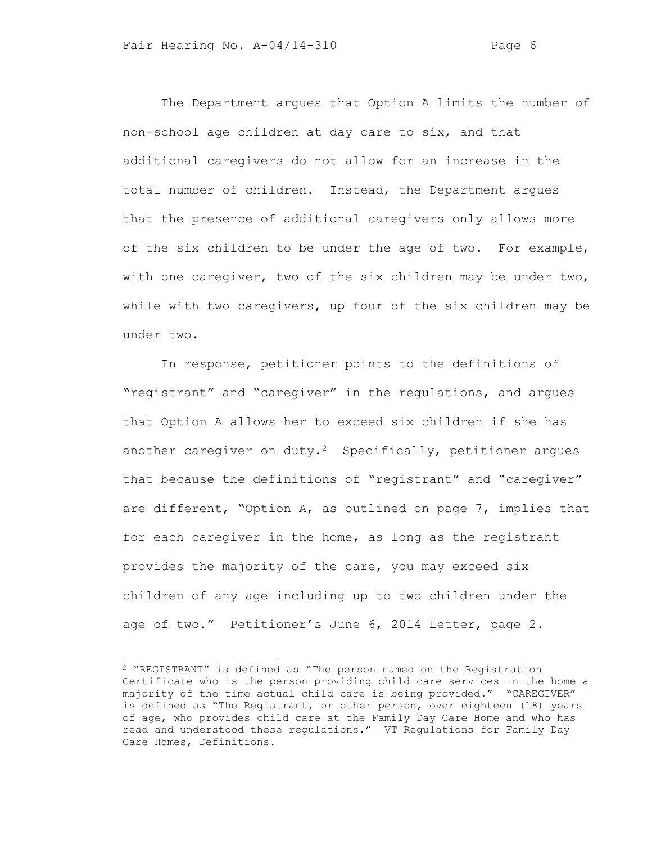The Department argues that Option A limits the number of non-school age children at day care to six, and that additional caregivers do not allow for an increase in the total number of children. Instead, the Department argues that the presence of additional caregivers only allows more of the six children to be under the age of two. For example, with one caregiver, two of the six children may be under two, while with two caregivers, up four of the six children may be under two.

In response, petitioner points to the definitions of "registrant" and "caregiver" in the regulations, and argues that Option A allows her to exceed six children if she has another caregiver on duty.<sup>2</sup> Specifically, petitioner argues that because the definitions of "registrant" and "caregiver" are different, "Option A, as outlined on page 7, implies that for each caregiver in the home, as long as the registrant provides the majority of the care, you may exceed six children of any age including up to two children under the age of two." Petitioner's June 6, 2014 Letter, page 2.

<sup>2</sup> "REGISTRANT" is defined as "The person named on the Registration Certificate who is the person providing child care services in the home a majority of the time actual child care is being provided." "CAREGIVER" is defined as "The Registrant, or other person, over eighteen (18) years of age, who provides child care at the Family Day Care Home and who has read and understood these regulations." VT Regulations for Family Day Care Homes, Definitions.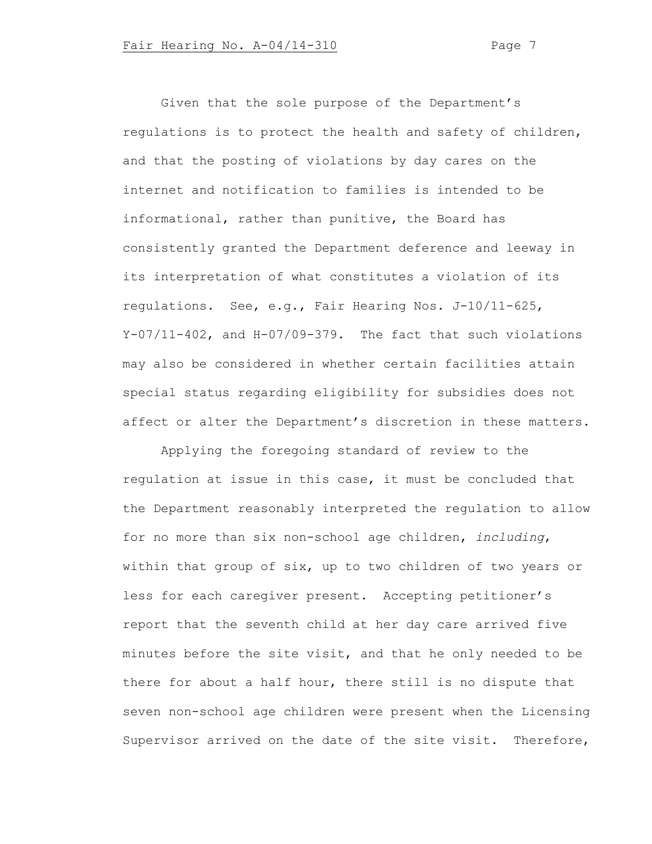Given that the sole purpose of the Department's regulations is to protect the health and safety of children, and that the posting of violations by day cares on the internet and notification to families is intended to be informational, rather than punitive, the Board has consistently granted the Department deference and leeway in its interpretation of what constitutes a violation of its regulations. See, e.g., Fair Hearing Nos. J-10/11-625, Y-07/11-402, and H-07/09-379. The fact that such violations may also be considered in whether certain facilities attain special status regarding eligibility for subsidies does not affect or alter the Department's discretion in these matters.

Applying the foregoing standard of review to the regulation at issue in this case, it must be concluded that the Department reasonably interpreted the regulation to allow for no more than six non-school age children, *including*, within that group of six, up to two children of two years or less for each caregiver present. Accepting petitioner's report that the seventh child at her day care arrived five minutes before the site visit, and that he only needed to be there for about a half hour, there still is no dispute that seven non-school age children were present when the Licensing Supervisor arrived on the date of the site visit. Therefore,